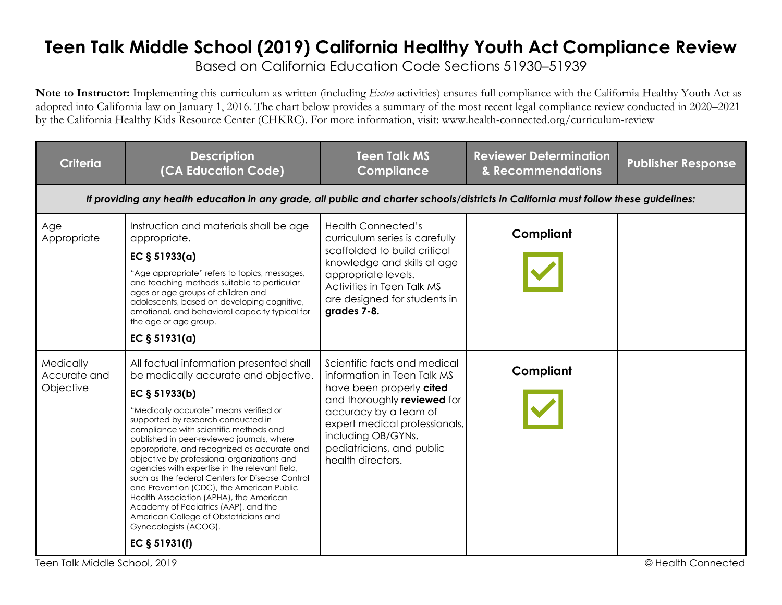## **Teen Talk Middle School (2019) California Healthy Youth Act Compliance Review**

Based on California Education Code Sections 51930–51939

**Note to Instructor:** Implementing this curriculum as written (including *Extra* activities) ensures full compliance with the California Healthy Youth Act as adopted into California law on January 1, 2016. The chart below provides a summary of the most recent legal compliance review conducted in 2020–2021 by the California Healthy Kids Resource Center (CHKRC). For more information, visit: www.health-connected.org/curriculum-review

| <b>Criteria</b>                        | <b>Description</b><br>(CA Education Code)                                                                                                                                                                                                                                                                                                                                                                                                                                                                                                                                                                                                                                                      | <b>Teen Talk MS</b><br><b>Compliance</b>                                                                                                                                                                                                                 | <b>Reviewer Determination</b><br>& Recommendations | <b>Publisher Response</b> |
|----------------------------------------|------------------------------------------------------------------------------------------------------------------------------------------------------------------------------------------------------------------------------------------------------------------------------------------------------------------------------------------------------------------------------------------------------------------------------------------------------------------------------------------------------------------------------------------------------------------------------------------------------------------------------------------------------------------------------------------------|----------------------------------------------------------------------------------------------------------------------------------------------------------------------------------------------------------------------------------------------------------|----------------------------------------------------|---------------------------|
|                                        | If providing any health education in any grade, all public and charter schools/districts in California must follow these guidelines:                                                                                                                                                                                                                                                                                                                                                                                                                                                                                                                                                           |                                                                                                                                                                                                                                                          |                                                    |                           |
| Age<br>Appropriate                     | Instruction and materials shall be age<br>appropriate.<br>EC $§ 51933(a)$<br>"Age appropriate" refers to topics, messages,<br>and teaching methods suitable to particular<br>ages or age groups of children and<br>adolescents, based on developing cognitive,<br>emotional, and behavioral capacity typical for<br>the age or age group.<br>EC $§ 51931(a)$                                                                                                                                                                                                                                                                                                                                   | <b>Health Connected's</b><br>curriculum series is carefully<br>scaffolded to build critical<br>knowledge and skills at age<br>appropriate levels.<br>Activities in Teen Talk MS<br>are designed for students in<br>grades 7-8.                           | Compliant                                          |                           |
| Medically<br>Accurate and<br>Objective | All factual information presented shall<br>be medically accurate and objective.<br>EC § 51933(b)<br>"Medically accurate" means verified or<br>supported by research conducted in<br>compliance with scientific methods and<br>published in peer-reviewed journals, where<br>appropriate, and recognized as accurate and<br>objective by professional organizations and<br>agencies with expertise in the relevant field,<br>such as the federal Centers for Disease Control<br>and Prevention (CDC), the American Public<br>Health Association (APHA), the American<br>Academy of Pediatrics (AAP), and the<br>American College of Obstetricians and<br>Gynecologists (ACOG).<br>EC § 51931(f) | Scientific facts and medical<br>information in Teen Talk MS<br>have been properly cited<br>and thoroughly reviewed for<br>accuracy by a team of<br>expert medical professionals,<br>including OB/GYNs,<br>pediatricians, and public<br>health directors. | Compliant                                          |                           |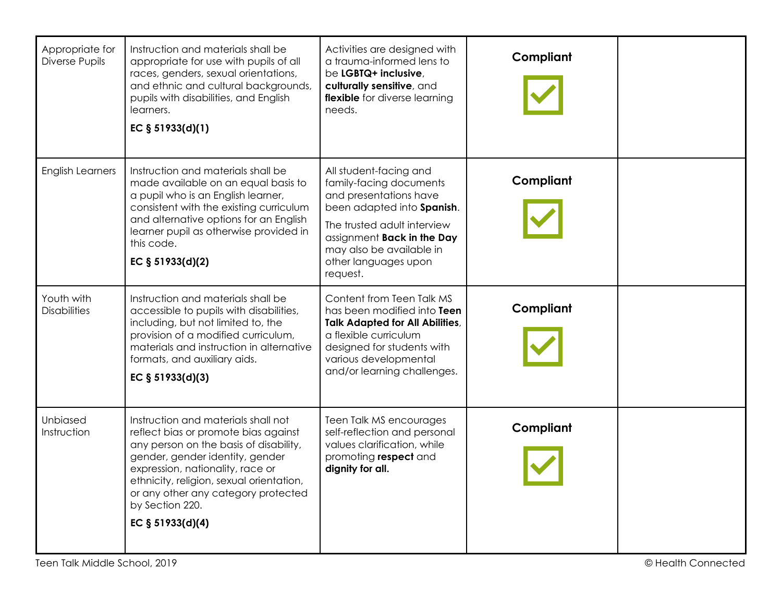| Appropriate for<br>Diverse Pupils | Instruction and materials shall be<br>appropriate for use with pupils of all<br>races, genders, sexual orientations,<br>and ethnic and cultural backgrounds,<br>pupils with disabilities, and English<br>learners.<br>EC § 51933(d)(1)                                                                                   | Activities are designed with<br>a trauma-informed lens to<br>be LGBTQ+ inclusive,<br>culturally sensitive, and<br>flexible for diverse learning<br>needs.                                                                              | Compliant |  |
|-----------------------------------|--------------------------------------------------------------------------------------------------------------------------------------------------------------------------------------------------------------------------------------------------------------------------------------------------------------------------|----------------------------------------------------------------------------------------------------------------------------------------------------------------------------------------------------------------------------------------|-----------|--|
| <b>English Learners</b>           | Instruction and materials shall be<br>made available on an equal basis to<br>a pupil who is an English learner,<br>consistent with the existing curriculum<br>and alternative options for an English<br>learner pupil as otherwise provided in<br>this code.<br>EC § 51933(d)(2)                                         | All student-facing and<br>family-facing documents<br>and presentations have<br>been adapted into Spanish.<br>The trusted adult interview<br>assignment Back in the Day<br>may also be available in<br>other languages upon<br>request. | Compliant |  |
| Youth with<br><b>Disabilities</b> | Instruction and materials shall be<br>accessible to pupils with disabilities,<br>including, but not limited to, the<br>provision of a modified curriculum,<br>materials and instruction in alternative<br>formats, and auxiliary aids.<br>EC § 51933(d)(3)                                                               | Content from Teen Talk MS<br>has been modified into Teen<br><b>Talk Adapted for All Abilities,</b><br>a flexible curriculum<br>designed for students with<br>various developmental<br>and/or learning challenges.                      | Compliant |  |
| Unbiased<br>Instruction           | Instruction and materials shall not<br>reflect bias or promote bias against<br>any person on the basis of disability,<br>gender, gender identity, gender<br>expression, nationality, race or<br>ethnicity, religion, sexual orientation,<br>or any other any category protected<br>by Section 220.<br>EC $§ 51933(d)(4)$ | Teen Talk MS encourages<br>self-reflection and personal<br>values clarification, while<br>promoting respect and<br>dignity for all.                                                                                                    | Compliant |  |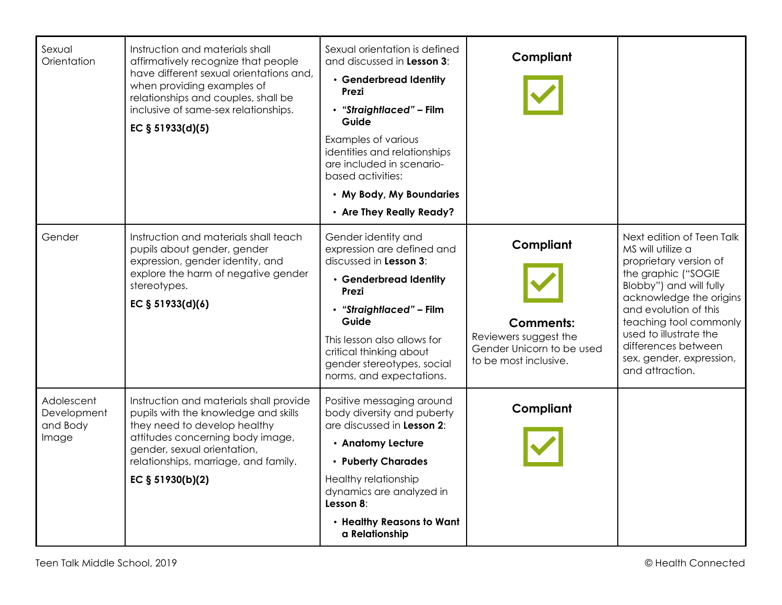| Sexual<br>Orientation                          | Instruction and materials shall<br>affirmatively recognize that people<br>have different sexual orientations and,<br>when providing examples of<br>relationships and couples, shall be<br>inclusive of same-sex relationships.<br>EC § 51933(d)(5) | Sexual orientation is defined<br>and discussed in Lesson 3:<br>• Genderbread Identity<br>Prezi<br>• "Straightlaced" - Film<br>Guide<br>Examples of various<br>identities and relationships<br>are included in scenario-<br>based activities:<br>• My Body, My Boundaries<br>• Are They Really Ready? | Compliant                                                                                                    |                                                                                                                                                                                                                                                                                                          |
|------------------------------------------------|----------------------------------------------------------------------------------------------------------------------------------------------------------------------------------------------------------------------------------------------------|------------------------------------------------------------------------------------------------------------------------------------------------------------------------------------------------------------------------------------------------------------------------------------------------------|--------------------------------------------------------------------------------------------------------------|----------------------------------------------------------------------------------------------------------------------------------------------------------------------------------------------------------------------------------------------------------------------------------------------------------|
| Gender                                         | Instruction and materials shall teach<br>pupils about gender, gender<br>expression, gender identity, and<br>explore the harm of negative gender<br>stereotypes.<br>EC § 51933(d)(6)                                                                | Gender identity and<br>expression are defined and<br>discussed in Lesson 3:<br>• Genderbread Identity<br>Prezi<br>• "Straightlaced" - Film<br>Guide<br>This lesson also allows for<br>critical thinking about<br>gender stereotypes, social<br>norms, and expectations.                              | Compliant<br><b>Comments:</b><br>Reviewers suggest the<br>Gender Unicorn to be used<br>to be most inclusive. | Next edition of Teen Talk<br>MS will utilize a<br>proprietary version of<br>the graphic ("SOGIE<br>Blobby") and will fully<br>acknowledge the origins<br>and evolution of this<br>teaching tool commonly<br>used to illustrate the<br>differences between<br>sex, gender, expression,<br>and attraction. |
| Adolescent<br>Development<br>and Body<br>Image | Instruction and materials shall provide<br>pupils with the knowledge and skills<br>they need to develop healthy<br>attitudes concerning body image,<br>gender, sexual orientation,<br>relationships, marriage, and family.<br>EC $§ 51930(b)(2)$   | Positive messaging around<br>body diversity and puberty<br>are discussed in Lesson 2:<br>• Anatomy Lecture<br>• Puberty Charades<br>Healthy relationship<br>dynamics are analyzed in<br>Lesson 8:<br>• Healthy Reasons to Want<br>a Relationship                                                     | Compliant                                                                                                    |                                                                                                                                                                                                                                                                                                          |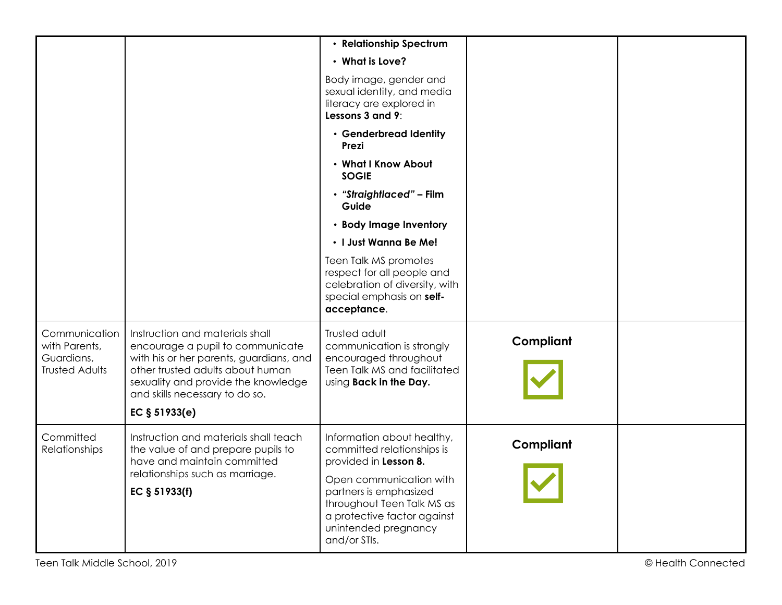|                                                                       |                                                                                                                                                                                                                                                | • Relationship Spectrum                                                                                                                                                                                                                     |           |  |
|-----------------------------------------------------------------------|------------------------------------------------------------------------------------------------------------------------------------------------------------------------------------------------------------------------------------------------|---------------------------------------------------------------------------------------------------------------------------------------------------------------------------------------------------------------------------------------------|-----------|--|
|                                                                       |                                                                                                                                                                                                                                                | • What is Love?                                                                                                                                                                                                                             |           |  |
|                                                                       |                                                                                                                                                                                                                                                | Body image, gender and<br>sexual identity, and media<br>literacy are explored in<br>Lessons 3 and 9:                                                                                                                                        |           |  |
|                                                                       |                                                                                                                                                                                                                                                | • Genderbread Identity<br>Prezi                                                                                                                                                                                                             |           |  |
|                                                                       |                                                                                                                                                                                                                                                | • What I Know About<br><b>SOGIE</b>                                                                                                                                                                                                         |           |  |
|                                                                       |                                                                                                                                                                                                                                                | • "Straightlaced" - Film<br>Guide                                                                                                                                                                                                           |           |  |
|                                                                       |                                                                                                                                                                                                                                                | • Body Image Inventory                                                                                                                                                                                                                      |           |  |
|                                                                       |                                                                                                                                                                                                                                                | · I Just Wanna Be Me!                                                                                                                                                                                                                       |           |  |
|                                                                       |                                                                                                                                                                                                                                                | Teen Talk MS promotes<br>respect for all people and<br>celebration of diversity, with<br>special emphasis on self-<br>acceptance.                                                                                                           |           |  |
| Communication<br>with Parents,<br>Guardians,<br><b>Trusted Adults</b> | Instruction and materials shall<br>encourage a pupil to communicate<br>with his or her parents, guardians, and<br>other trusted adults about human<br>sexuality and provide the knowledge<br>and skills necessary to do so.<br>EC $§ 51933(e)$ | Trusted adult<br>communication is strongly<br>encouraged throughout<br>Teen Talk MS and facilitated<br>Using Back in the Day.                                                                                                               | Compliant |  |
|                                                                       |                                                                                                                                                                                                                                                |                                                                                                                                                                                                                                             |           |  |
| Committed<br><b>Relationships</b>                                     | Instruction and materials shall teach<br>the value of and prepare pupils to<br>have and maintain committed<br>relationships such as marriage.<br>EC § 51933(f)                                                                                 | Information about healthy,<br>committed relationships is<br>provided in Lesson 8.<br>Open communication with<br>partners is emphasized<br>throughout Teen Talk MS as<br>a protective factor against<br>unintended pregnancy<br>and/or STIs. | Compliant |  |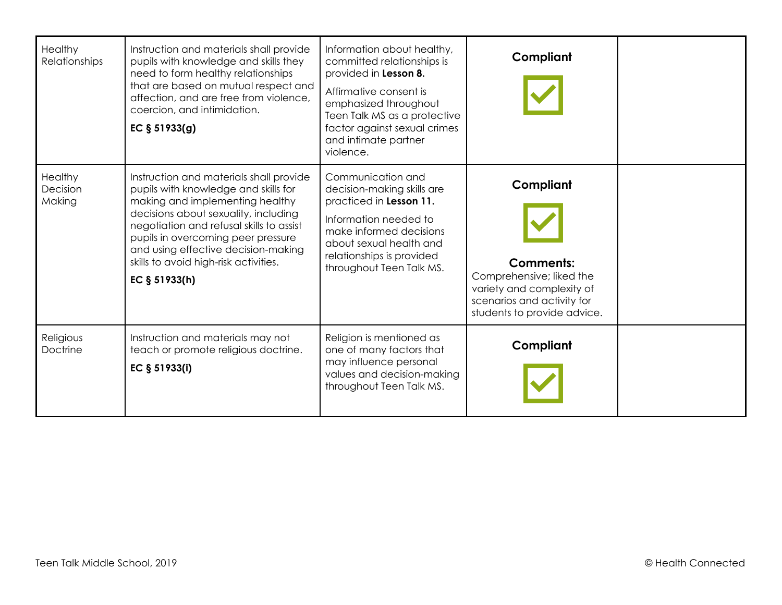| Healthy<br>Relationships      | Instruction and materials shall provide<br>pupils with knowledge and skills they<br>need to form healthy relationships<br>that are based on mutual respect and<br>affection, and are free from violence,<br>coercion, and intimidation.<br>EC § 51933(g)                                                                                      | Information about healthy,<br>committed relationships is<br>provided in Lesson 8.<br>Affirmative consent is<br>emphasized throughout<br>Teen Talk MS as a protective<br>factor against sexual crimes<br>and intimate partner<br>violence. | Compliant                                                                                                                                           |  |
|-------------------------------|-----------------------------------------------------------------------------------------------------------------------------------------------------------------------------------------------------------------------------------------------------------------------------------------------------------------------------------------------|-------------------------------------------------------------------------------------------------------------------------------------------------------------------------------------------------------------------------------------------|-----------------------------------------------------------------------------------------------------------------------------------------------------|--|
| Healthy<br>Decision<br>Making | Instruction and materials shall provide<br>pupils with knowledge and skills for<br>making and implementing healthy<br>decisions about sexuality, including<br>negotiation and refusal skills to assist<br>pupils in overcoming peer pressure<br>and using effective decision-making<br>skills to avoid high-risk activities.<br>EC § 51933(h) | Communication and<br>decision-making skills are<br>practiced in Lesson 11.<br>Information needed to<br>make informed decisions<br>about sexual health and<br>relationships is provided<br>throughout Teen Talk MS.                        | Compliant<br><b>Comments:</b><br>Comprehensive; liked the<br>variety and complexity of<br>scenarios and activity for<br>students to provide advice. |  |
| Religious<br><b>Doctrine</b>  | Instruction and materials may not<br>teach or promote religious doctrine.<br>EC § 51933(i)                                                                                                                                                                                                                                                    | Religion is mentioned as<br>one of many factors that<br>may influence personal<br>values and decision-making<br>throughout Teen Talk MS.                                                                                                  | Compliant                                                                                                                                           |  |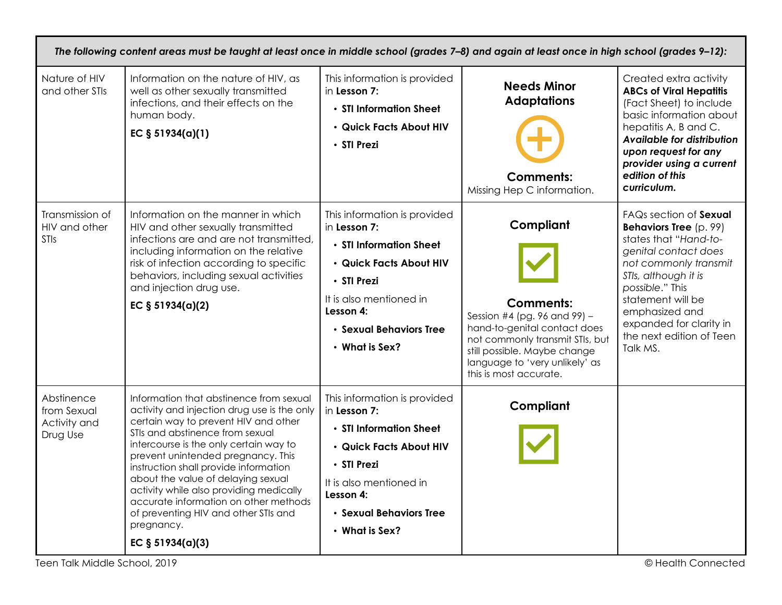|                                                       | The following content areas must be taught at least once in middle school (grades 7-8) and again at least once in high school (grades 9-12):                                                                                                                                                                                                                                                                                                                                                     |                                                                                                                                                                                                              |                                                                                                                                                                                                                              |                                                                                                                                                                                                                                                                                        |  |  |
|-------------------------------------------------------|--------------------------------------------------------------------------------------------------------------------------------------------------------------------------------------------------------------------------------------------------------------------------------------------------------------------------------------------------------------------------------------------------------------------------------------------------------------------------------------------------|--------------------------------------------------------------------------------------------------------------------------------------------------------------------------------------------------------------|------------------------------------------------------------------------------------------------------------------------------------------------------------------------------------------------------------------------------|----------------------------------------------------------------------------------------------------------------------------------------------------------------------------------------------------------------------------------------------------------------------------------------|--|--|
| Nature of HIV<br>and other STIs                       | Information on the nature of HIV, as<br>well as other sexually transmitted<br>infections, and their effects on the<br>human body.<br>EC $§ 51934(a)(1)$                                                                                                                                                                                                                                                                                                                                          | This information is provided<br>in Lesson 7:<br>• STI Information Sheet<br>· Quick Facts About HIV<br>• STI Prezi                                                                                            | <b>Needs Minor</b><br><b>Adaptations</b><br><b>Comments:</b><br>Missing Hep C information.                                                                                                                                   | Created extra activity<br><b>ABCs of Viral Hepatitis</b><br>(Fact Sheet) to include<br>basic information about<br>hepatitis A, B and C.<br>Available for distribution<br>upon request for any<br>provider using a current<br>edition of this<br>curriculum.                            |  |  |
| Transmission of<br>HIV and other<br><b>STIs</b>       | Information on the manner in which<br>HIV and other sexually transmitted<br>infections are and are not transmitted,<br>including information on the relative<br>risk of infection according to specific<br>behaviors, including sexual activities<br>and injection drug use.<br>EC § 51934(a)(2)                                                                                                                                                                                                 | This information is provided<br>in Lesson 7:<br>• STI Information Sheet<br>· Quick Facts About HIV<br>• STI Prezi<br>It is also mentioned in<br>Lesson 4:<br>· Sexual Behaviors Tree<br>$\cdot$ What is Sex? | Compliant<br><b>Comments:</b><br>Session #4 (pg. 96 and 99) -<br>hand-to-genital contact does<br>not commonly transmit STIs, but<br>still possible. Maybe change<br>language to 'very unlikely' as<br>this is most accurate. | FAQs section of Sexual<br><b>Behaviors Tree</b> (p. 99)<br>states that "Hand-to-<br>genital contact does<br>not commonly transmit<br>STIs, although it is<br>possible." This<br>statement will be<br>emphasized and<br>expanded for clarity in<br>the next edition of Teen<br>Talk MS. |  |  |
| Abstinence<br>from Sexual<br>Activity and<br>Drug Use | Information that abstinence from sexual<br>activity and injection drug use is the only<br>certain way to prevent HIV and other<br>STIs and abstinence from sexual<br>intercourse is the only certain way to<br>prevent unintended pregnancy. This<br>instruction shall provide information<br>about the value of delaying sexual<br>activity while also providing medically<br>accurate information on other methods<br>of preventing HIV and other STIs and<br>pregnancy.<br>EC $§ 51934(a)(3)$ | This information is provided<br>in Lesson 7:<br>• STI Information Sheet<br>· Quick Facts About HIV<br>• STI Prezi<br>It is also mentioned in<br>Lesson 4:<br>· Sexual Behaviors Tree<br>$\cdot$ What is Sex? | Compliant                                                                                                                                                                                                                    |                                                                                                                                                                                                                                                                                        |  |  |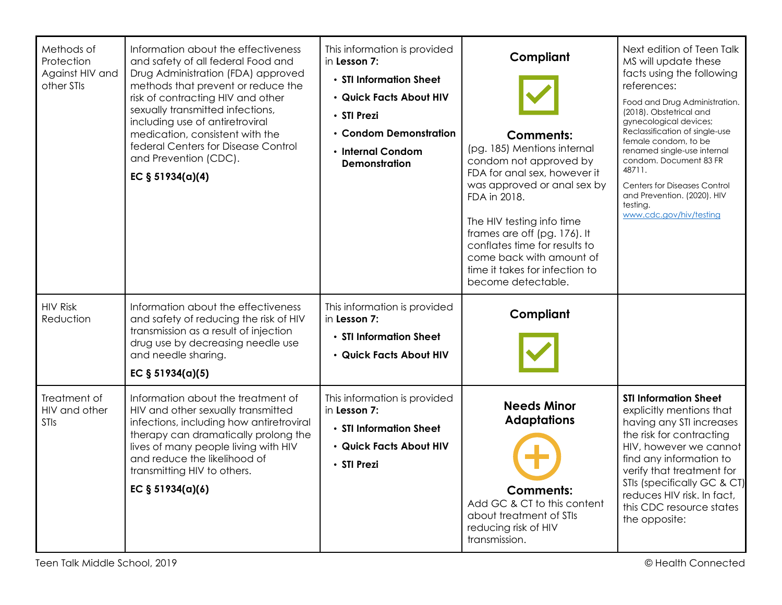| Methods of<br>Protection<br>Against HIV and<br>other STIs | Information about the effectiveness<br>and safety of all federal Food and<br>Drug Administration (FDA) approved<br>methods that prevent or reduce the<br>risk of contracting HIV and other<br>sexually transmitted infections,<br>including use of antiretroviral<br>medication, consistent with the<br>federal Centers for Disease Control<br>and Prevention (CDC).<br>EC $§ 51934(a)(4)$ | This information is provided<br>in Lesson 7:<br>• STI Information Sheet<br>· Quick Facts About HIV<br>• STI Prezi<br>• Condom Demonstration<br>• Internal Condom<br><b>Demonstration</b> | Compliant<br><b>Comments:</b><br>(pg. 185) Mentions internal<br>condom not approved by<br>FDA for anal sex, however it<br>was approved or anal sex by<br>FDA in 2018.<br>The HIV testing info time<br>frames are off (pg. 176). It<br>conflates time for results to<br>come back with amount of<br>time it takes for infection to<br>become detectable. | Next edition of Teen Talk<br>MS will update these<br>facts using the following<br>references:<br>Food and Drug Administration.<br>(2018). Obstetrical and<br>gynecological devices;<br>Reclassification of single-use<br>female condom, to be<br>renamed single-use internal<br>condom. Document 83 FR<br>48711.<br><b>Centers for Diseases Control</b><br>and Prevention. (2020). HIV<br>testing.<br>www.cdc.gov/hiv/testing |
|-----------------------------------------------------------|--------------------------------------------------------------------------------------------------------------------------------------------------------------------------------------------------------------------------------------------------------------------------------------------------------------------------------------------------------------------------------------------|------------------------------------------------------------------------------------------------------------------------------------------------------------------------------------------|---------------------------------------------------------------------------------------------------------------------------------------------------------------------------------------------------------------------------------------------------------------------------------------------------------------------------------------------------------|-------------------------------------------------------------------------------------------------------------------------------------------------------------------------------------------------------------------------------------------------------------------------------------------------------------------------------------------------------------------------------------------------------------------------------|
| <b>HIV Risk</b><br>Reduction                              | Information about the effectiveness<br>and safety of reducing the risk of HIV<br>transmission as a result of injection<br>drug use by decreasing needle use<br>and needle sharing.<br>EC $§ 51934(a)(5)$                                                                                                                                                                                   | This information is provided<br>in Lesson 7:<br>• STI Information Sheet<br>· Quick Facts About HIV                                                                                       | Compliant                                                                                                                                                                                                                                                                                                                                               |                                                                                                                                                                                                                                                                                                                                                                                                                               |
| Treatment of<br>HIV and other<br>STIs                     | Information about the treatment of<br>HIV and other sexually transmitted<br>infections, including how antiretroviral<br>therapy can dramatically prolong the<br>lives of many people living with HIV<br>and reduce the likelihood of<br>transmitting HIV to others.<br>EC $§ 51934(a)(6)$                                                                                                  | This information is provided<br>in Lesson 7:<br>• STI Information Sheet<br>· Quick Facts About HIV<br>· STI Prezi                                                                        | <b>Needs Minor</b><br><b>Adaptations</b><br><b>Comments:</b><br>Add GC & CT to this content<br>about treatment of STIs<br>reducing risk of HIV<br>transmission.                                                                                                                                                                                         | <b>STI Information Sheet</b><br>explicitly mentions that<br>having any STI increases<br>the risk for contracting<br>HIV, however we cannot<br>find any information to<br>verify that treatment for<br>STIs (specifically GC & CT)<br>reduces HIV risk. In fact,<br>this CDC resource states<br>the opposite:                                                                                                                  |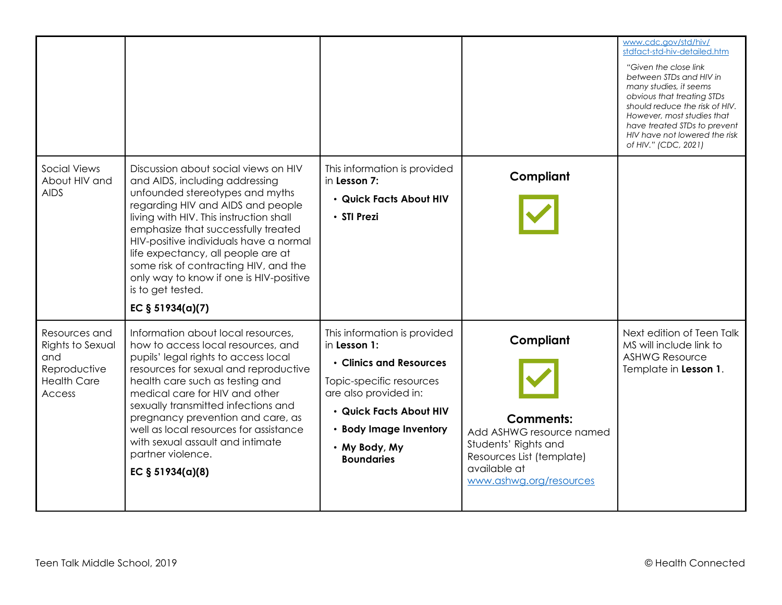|                                                                                          |                                                                                                                                                                                                                                                                                                                                                                                                                                                 |                                                                                                                                                                                                                         |                                                                                                                                                           | www.cdc.gov/std/hiv/<br>stdfact-std-hiv-detailed.htm<br>"Given the close link"<br>between STDs and HIV in<br>many studies, it seems<br>obvious that treating STDs<br>should reduce the risk of HIV.<br>However, most studies that<br>have treated STDs to prevent<br>HIV have not lowered the risk<br>of HIV." (CDC, 2021) |
|------------------------------------------------------------------------------------------|-------------------------------------------------------------------------------------------------------------------------------------------------------------------------------------------------------------------------------------------------------------------------------------------------------------------------------------------------------------------------------------------------------------------------------------------------|-------------------------------------------------------------------------------------------------------------------------------------------------------------------------------------------------------------------------|-----------------------------------------------------------------------------------------------------------------------------------------------------------|----------------------------------------------------------------------------------------------------------------------------------------------------------------------------------------------------------------------------------------------------------------------------------------------------------------------------|
| <b>Social Views</b><br>About HIV and<br><b>AIDS</b>                                      | Discussion about social views on HIV<br>and AIDS, including addressing<br>unfounded stereotypes and myths<br>regarding HIV and AIDS and people<br>living with HIV. This instruction shall<br>emphasize that successfully treated<br>HIV-positive individuals have a normal<br>life expectancy, all people are at<br>some risk of contracting HIV, and the<br>only way to know if one is HIV-positive<br>is to get tested.<br>EC $§ 51934(a)(7)$ | This information is provided<br>in Lesson 7:<br>· Quick Facts About HIV<br>• STI Prezi                                                                                                                                  | Compliant                                                                                                                                                 |                                                                                                                                                                                                                                                                                                                            |
| Resources and<br>Rights to Sexual<br>and<br>Reproductive<br><b>Health Care</b><br>Access | Information about local resources,<br>how to access local resources, and<br>pupils' legal rights to access local<br>resources for sexual and reproductive<br>health care such as testing and<br>medical care for HIV and other<br>sexually transmitted infections and<br>pregnancy prevention and care, as<br>well as local resources for assistance<br>with sexual assault and intimate<br>partner violence.<br>EC $§ 51934(a)(8)$             | This information is provided<br>in Lesson 1:<br>• Clinics and Resources<br>Topic-specific resources<br>are also provided in:<br>• Quick Facts About HIV<br>• Body Image Inventory<br>• My Body, My<br><b>Boundaries</b> | Compliant<br><b>Comments:</b><br>Add ASHWG resource named<br>Students' Rights and<br>Resources List (template)<br>available at<br>www.ashwg.org/resources | Next edition of Teen Talk<br>MS will include link to<br><b>ASHWG Resource</b><br>Template in Lesson 1.                                                                                                                                                                                                                     |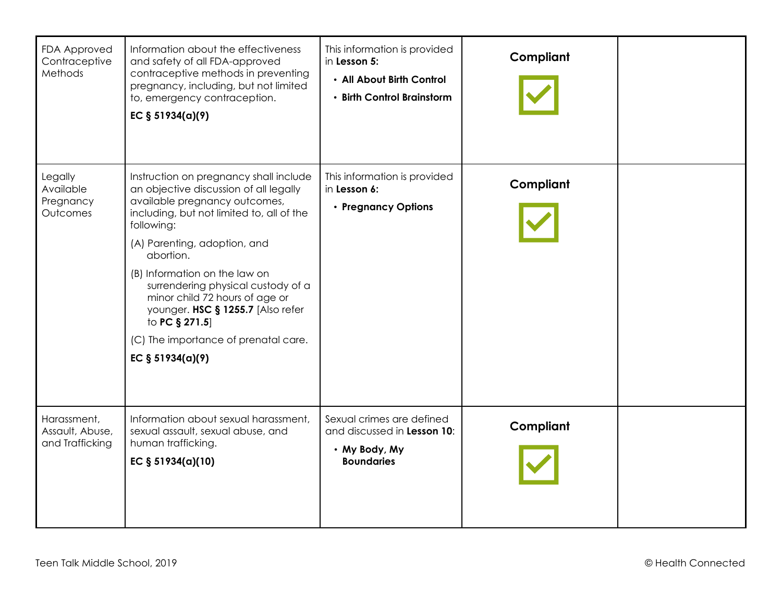| FDA Approved<br>Contraceptive<br>Methods          | Information about the effectiveness<br>and safety of all FDA-approved<br>contraceptive methods in preventing<br>pregnancy, including, but not limited<br>to, emergency contraception.<br>EC § 51934(a)(9)                                                                                                                                                                                                                                               | This information is provided<br>in Lesson 5:<br>• All About Birth Control<br>• Birth Control Brainstorm | Compliant |  |
|---------------------------------------------------|---------------------------------------------------------------------------------------------------------------------------------------------------------------------------------------------------------------------------------------------------------------------------------------------------------------------------------------------------------------------------------------------------------------------------------------------------------|---------------------------------------------------------------------------------------------------------|-----------|--|
| Legally<br>Available<br>Pregnancy<br>Outcomes     | Instruction on pregnancy shall include<br>an objective discussion of all legally<br>available pregnancy outcomes,<br>including, but not limited to, all of the<br>following:<br>(A) Parenting, adoption, and<br>abortion.<br>(B) Information on the law on<br>surrendering physical custody of a<br>minor child 72 hours of age or<br>younger. HSC § 1255.7 [Also refer<br>to PC § 271.5]<br>(C) The importance of prenatal care.<br>EC $§ 51934(a)(9)$ | This information is provided<br>in Lesson 6:<br>• Pregnancy Options                                     | Compliant |  |
| Harassment,<br>Assault, Abuse,<br>and Trafficking | Information about sexual harassment,<br>sexual assault, sexual abuse, and<br>human trafficking.<br>EC § 51934(a)(10)                                                                                                                                                                                                                                                                                                                                    | Sexual crimes are defined<br>and discussed in Lesson 10:<br>• My Body, My<br><b>Boundaries</b>          | Compliant |  |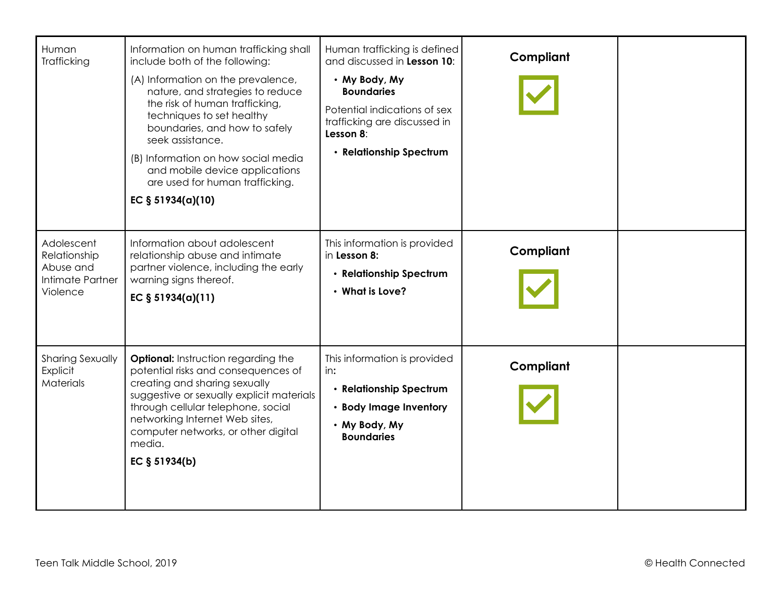| Human<br>Trafficking                                                    | Information on human trafficking shall<br>include both of the following:<br>(A) Information on the prevalence,<br>nature, and strategies to reduce<br>the risk of human trafficking,<br>techniques to set healthy<br>boundaries, and how to safely<br>seek assistance.<br>(B) Information on how social media<br>and mobile device applications<br>are used for human trafficking.<br>EC $§ 51934(a)(10)$ | Human trafficking is defined<br>and discussed in Lesson 10:<br>• My Body, My<br><b>Boundaries</b><br>Potential indications of sex<br>trafficking are discussed in<br>Lesson 8:<br>• Relationship Spectrum | Compliant |  |
|-------------------------------------------------------------------------|-----------------------------------------------------------------------------------------------------------------------------------------------------------------------------------------------------------------------------------------------------------------------------------------------------------------------------------------------------------------------------------------------------------|-----------------------------------------------------------------------------------------------------------------------------------------------------------------------------------------------------------|-----------|--|
| Adolescent<br>Relationship<br>Abuse and<br>Intimate Partner<br>Violence | Information about adolescent<br>relationship abuse and intimate<br>partner violence, including the early<br>warning signs thereof.<br>EC § 51934(a)(11)                                                                                                                                                                                                                                                   | This information is provided<br>in Lesson 8:<br>• Relationship Spectrum<br>• What is Love?                                                                                                                | Compliant |  |
| Sharing Sexually<br>Explicit<br>Materials                               | Optional: Instruction regarding the<br>potential risks and consequences of<br>creating and sharing sexually<br>suggestive or sexually explicit materials<br>through cellular telephone, social<br>networking Internet Web sites,<br>computer networks, or other digital<br>media.<br>EC $§ 51934(b)$                                                                                                      | This information is provided<br>in:<br>• Relationship Spectrum<br>• Body Image Inventory<br>• My Body, My<br><b>Boundaries</b>                                                                            | Compliant |  |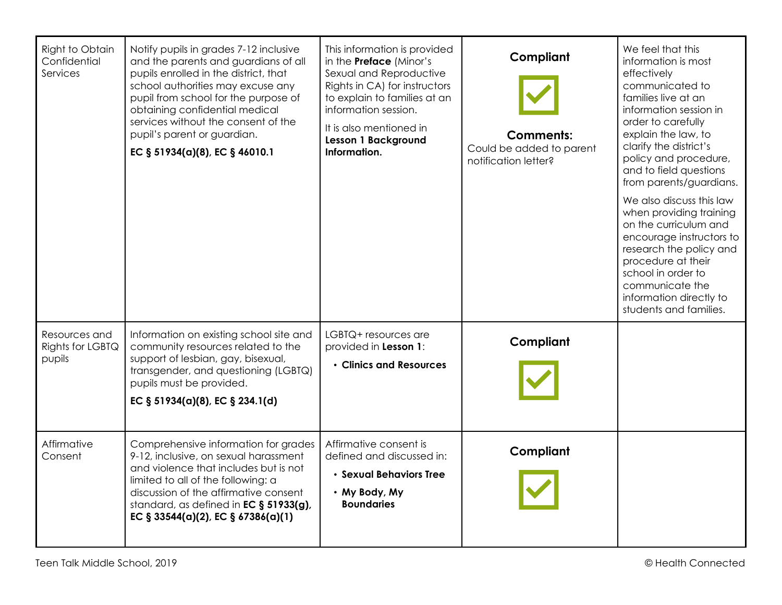| Right to Obtain<br>Confidential<br>Services | Notify pupils in grades 7-12 inclusive<br>and the parents and guardians of all<br>pupils enrolled in the district, that<br>school authorities may excuse any<br>pupil from school for the purpose of<br>obtaining confidential medical<br>services without the consent of the<br>pupil's parent or guardian.<br>EC § 51934(a)(8), EC § 46010.1 | This information is provided<br>in the <b>Preface</b> (Minor's<br>Sexual and Reproductive<br>Rights in CA) for instructors<br>to explain to families at an<br>information session.<br>It is also mentioned in<br>Lesson 1 Background<br>Information. | Compliant<br><b>Comments:</b><br>Could be added to parent<br>notification letter? | We feel that this<br>information is most<br>effectively<br>communicated to<br>families live at an<br>information session in<br>order to carefully<br>explain the law, to<br>clarify the district's<br>policy and procedure,<br>and to field questions<br>from parents/guardians.<br>We also discuss this law<br>when providing training<br>on the curriculum and<br>encourage instructors to<br>research the policy and<br>procedure at their<br>school in order to<br>communicate the<br>information directly to<br>students and families. |
|---------------------------------------------|------------------------------------------------------------------------------------------------------------------------------------------------------------------------------------------------------------------------------------------------------------------------------------------------------------------------------------------------|------------------------------------------------------------------------------------------------------------------------------------------------------------------------------------------------------------------------------------------------------|-----------------------------------------------------------------------------------|---------------------------------------------------------------------------------------------------------------------------------------------------------------------------------------------------------------------------------------------------------------------------------------------------------------------------------------------------------------------------------------------------------------------------------------------------------------------------------------------------------------------------------------------|
| Resources and<br>Rights for LGBTQ<br>pupils | Information on existing school site and<br>community resources related to the<br>support of lesbian, gay, bisexual,<br>transgender, and questioning (LGBTQ)<br>pupils must be provided.<br>EC § 51934(a)(8), EC § 234.1(d)                                                                                                                     | LGBTQ+ resources are<br>provided in Lesson 1:<br>• Clinics and Resources                                                                                                                                                                             | Compliant                                                                         |                                                                                                                                                                                                                                                                                                                                                                                                                                                                                                                                             |
| Affirmative<br>Consent                      | Comprehensive information for grades<br>9-12, inclusive, on sexual harassment<br>and violence that includes but is not<br>limited to all of the following: a<br>discussion of the affirmative consent<br>standard, as defined in EC § 51933(g),<br>EC § 33544(a)(2), EC § 67386(a)(1)                                                          | Affirmative consent is<br>defined and discussed in:<br>• Sexual Behaviors Tree<br>• My Body, My<br><b>Boundaries</b>                                                                                                                                 | Compliant                                                                         |                                                                                                                                                                                                                                                                                                                                                                                                                                                                                                                                             |